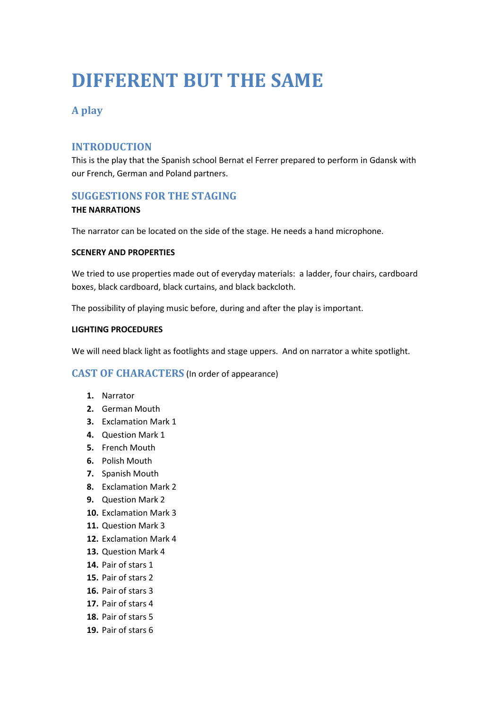# **DIFFERENT BUT THE SAME**

## **A play**

### **INTRODUCTION**

This is the play that the Spanish school Bernat el Ferrer prepared to perform in Gdansk with our French, German and Poland partners.

#### **SUGGESTIONS FOR THE STAGING**

#### **THE NARRATIONS**

The narrator can be located on the side of the stage. He needs a hand microphone.

#### **SCENERY AND PROPERTIES**

We tried to use properties made out of everyday materials: a ladder, four chairs, cardboard boxes, black cardboard, black curtains, and black backcloth.

The possibility of playing music before, during and after the play is important.

#### **LIGHTING PROCEDURES**

We will need black light as footlights and stage uppers. And on narrator a white spotlight.

#### **CAST OF CHARACTERS** (In order of appearance)

- **1.** Narrator
- **2.** German Mouth
- **3.** Exclamation Mark 1
- **4.** Question Mark 1
- **5.** French Mouth
- **6.** Polish Mouth
- **7.** Spanish Mouth
- **8.** Exclamation Mark 2
- **9.** Question Mark 2
- **10.** Exclamation Mark 3
- **11.** Question Mark 3
- **12.** Exclamation Mark 4
- **13.** Question Mark 4
- **14.** Pair of stars 1
- **15.** Pair of stars 2
- **16.** Pair of stars 3
- **17.** Pair of stars 4
- **18.** Pair of stars 5
- **19.** Pair of stars 6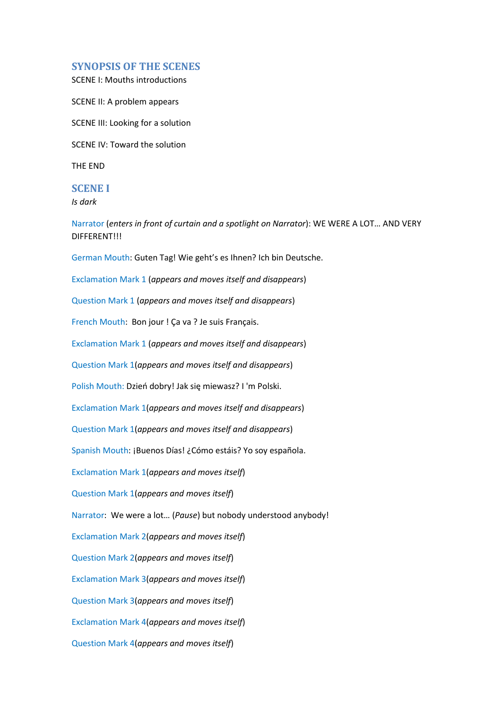#### **SYNOPSIS OF THE SCENES**

SCENE I: Mouths introductions

SCENE II: A problem appears

SCENE III: Looking for a solution

SCENE IV: Toward the solution

THE END

#### **SCENE I**

*Is dark* 

Narrator (*enters in front of curtain and a spotlight on Narrator*): WE WERE A LOT… AND VERY DIFFERENT!!!

German Mouth: Guten Tag! Wie geht's es Ihnen? Ich bin Deutsche.

Exclamation Mark 1 (*appears and moves itself and disappears*)

Question Mark 1 (*appears and moves itself and disappears*)

French Mouth: Bon jour ! Ça va ? Je suis Français.

Exclamation Mark 1 (*appears and moves itself and disappears*)

Question Mark 1(*appears and moves itself and disappears*)

Polish Mouth: Dzień dobry! Jak się miewasz? I 'm Polski.

Exclamation Mark 1(*appears and moves itself and disappears*)

Question Mark 1(*appears and moves itself and disappears*)

Spanish Mouth: ¡Buenos Días! ¿Cómo estáis? Yo soy española.

Exclamation Mark 1(*appears and moves itself*)

Question Mark 1(*appears and moves itself*)

Narrator: We were a lot… (*Pause*) but nobody understood anybody!

Exclamation Mark 2(*appears and moves itself*)

Question Mark 2(*appears and moves itself*)

Exclamation Mark 3(*appears and moves itself*)

Question Mark 3(*appears and moves itself*)

Exclamation Mark 4(*appears and moves itself*)

Question Mark 4(*appears and moves itself*)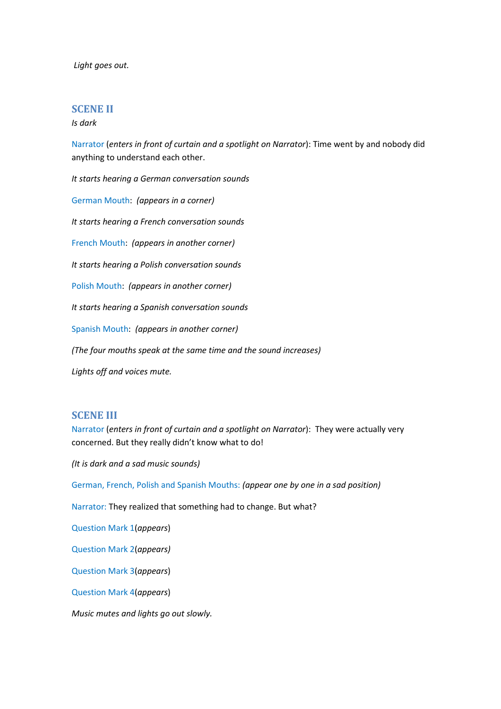*Light goes out.* 

#### **SCENE II**

*Is dark* 

Narrator (*enters in front of curtain and a spotlight on Narrator*): Time went by and nobody did anything to understand each other.

*It starts hearing a German conversation sounds* 

German Mouth: *(appears in a corner)* 

*It starts hearing a French conversation sounds* 

French Mouth: *(appears in another corner)* 

*It starts hearing a Polish conversation sounds* 

Polish Mouth: *(appears in another corner)* 

*It starts hearing a Spanish conversation sounds* 

Spanish Mouth: *(appears in another corner)* 

*(The four mouths speak at the same time and the sound increases)* 

*Lights off and voices mute.*

#### **SCENE III**

Narrator (*enters in front of curtain and a spotlight on Narrator*): They were actually very concerned. But they really didn't know what to do!

*(It is dark and a sad music sounds)* 

German, French, Polish and Spanish Mouths: *(appear one by one in a sad position)* 

Narrator: They realized that something had to change. But what?

Question Mark 1(*appears*)

Question Mark 2(*appears)*

Question Mark 3(*appears*)

Question Mark 4(*appears*)

*Music mutes and lights go out slowly.*